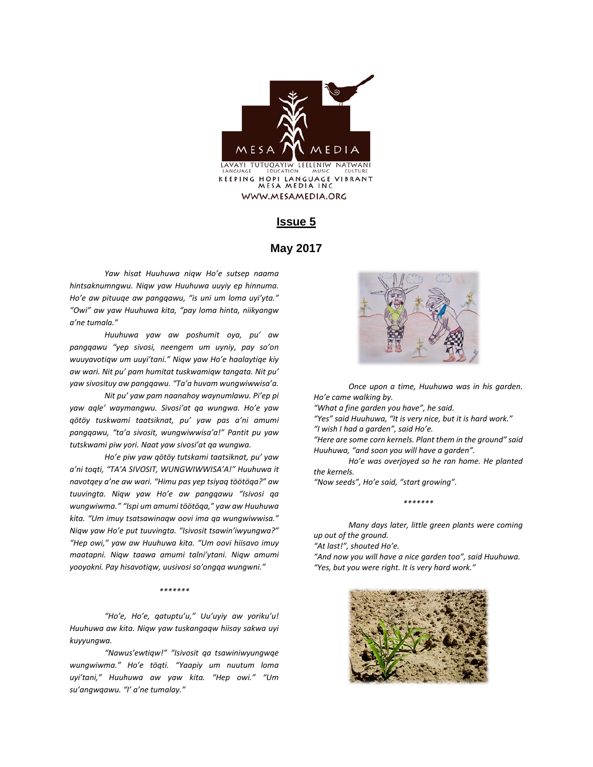

#### **Issue 5**

#### **May 2017**

*Yaw hisat Huuhuwa niqw Ho'e sutsep naama hintsaknumngwu. Niqw yaw Huuhuwa uuyiy ep hinnuma. Ho'e aw pituuqe aw pangqawu, "is uni um loma uyi'yta." "Owi" aw yaw Huuhuwa kita, "pay loma hinta, niikyangw a'ne tumala."*

*Huuhuwa yaw aw poshumit oya, pu' aw pangqawu "yep sivosi, neengem um uyniy, pay so'on wuuyavotiqw um uuyi'tani." Niqw yaw Ho'e haalaytiqe kiy aw wari. Nit pu' pam humitat tuskwamiqw tangata. Nit pu' yaw sivosituy aw pangqawu. "Ta'a huvam wungwiwwisa'a.*

*Nit pu' yaw pam naanahoy waynumlawu. Pi'ep pi yaw aqle' waymangwu. Sivosi'at qa wungwa. Ho'e yaw qötöy tuskwami taatsiknat, pu' yaw pas a'ni amumi pangqawu, "ta'a sivosit, wungwiwwisa'a!" Pantit pu yaw tutskwami piw yori. Naat yaw sivosi'at qa wungwa.*

*Ho'e piw yaw qötöy tutskami taatsiknat, pu' yaw a'ni toqti, "TA'A SIVOSIT, WUNGWIWWISA'A!" Huuhuwa it navotqey a'ne aw wari. "Himu pas yep tsiyaq töötöqa?" aw tuuvingta. Niqw yaw Ho'e aw pangqawu "Isivosi qa wungwiwma." "Ispi um amumi töötöqa," yaw aw Huuhuwa kita. "Um imuy tsatsawinaqw oovi ima qa wungwiwwisa." Niqw yaw Ho'e put tuuvingta. "Isivosit tsawin'iwyungwa?" "Hep owi," yaw aw Huuhuwa kita. "Um oovi hiisavo imuy maatapni. Niqw taawa amumi talni'ytani. Niqw amumi yooyokni. Pay hisavotiqw, uusivosi so'ongqa wungwni."*

#### *\*\*\*\*\*\*\**

*"Ho'e, Ho'e, qatuptu'u," Uu'uyiy aw yoriku'u! Huuhuwa aw kita. Niqw yaw tuskangaqw hiisay sakwa uyi kuyyungwa.*

*"Nawus'ewtiqw!" "Isivosit qa tsawiniwyungwqe wungwiwma." Ho'e töqti. "Yaapiy um nuutum loma uyi'tani," Huuhuwa aw yaw kita. "Hep owi." "Um su'angwqawu. "I' a'ne tumalay."* 



*Once upon a time, Huuhuwa was in his garden. Ho'e came walking by.* 

*"What a fine garden you have", he said.* 

*"Yes" said Huuhuwa, "It is very nice, but it is hard work."*

*"I wish I had a garden", said Ho'e.* 

*"Here are some corn kernels. Plant them in the ground" said Huuhuwa, "and soon you will have a garden".*

*Ho'e was overjoyed so he ran home. He planted the kernels.* 

*"Now seeds", Ho'e said, "start growing".* 

*\*\*\*\*\*\*\**

*Many days later, little green plants were coming up out of the ground.*

*"At last!", shouted Ho'e.*

*"And now you will have a nice garden too", said Huuhuwa. "Yes, but you were right. It is very hard work."*

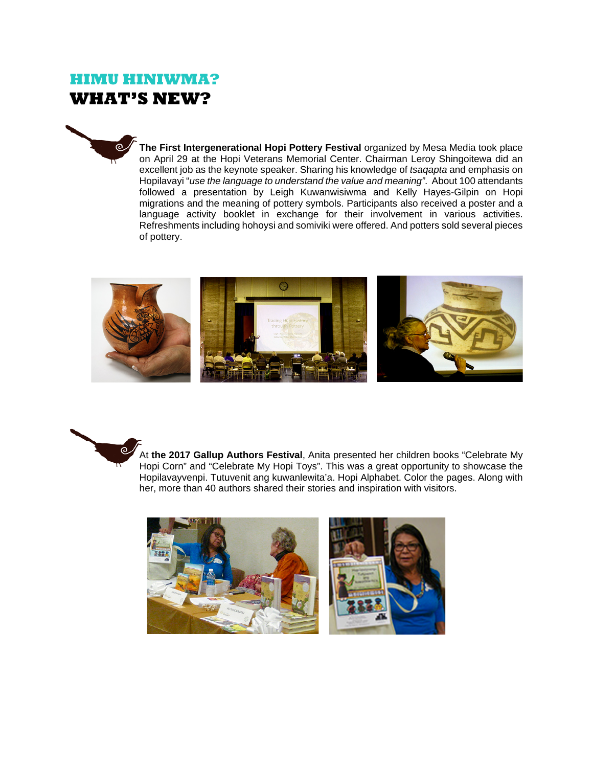# **HIMU HINIWMA? WHAT'S NEW?**



**The First Intergenerational Hopi Pottery Festival** organized by Mesa Media took place on April 29 at the Hopi Veterans Memorial Center. Chairman Leroy Shingoitewa did an excellent job as the keynote speaker. Sharing his knowledge of *tsaqapta* and emphasis on Hopilavayi "*use the language to understand the value and meaning"*. About 100 attendants followed a presentation by Leigh Kuwanwisiwma and Kelly Hayes-Gilpin on Hopi migrations and the meaning of pottery symbols. Participants also received a poster and a language activity booklet in exchange for their involvement in various activities. Refreshments including hohoysi and somiviki were offered. And potters sold several pieces of pottery.





At **the 2017 Gallup Authors Festival**, Anita presented her children books "Celebrate My Hopi Corn" and "Celebrate My Hopi Toys". This was a great opportunity to showcase the Hopilavayvenpi. Tutuvenit ang kuwanlewita'a. Hopi Alphabet. Color the pages. Along with her, more than 40 authors shared their stories and inspiration with visitors.